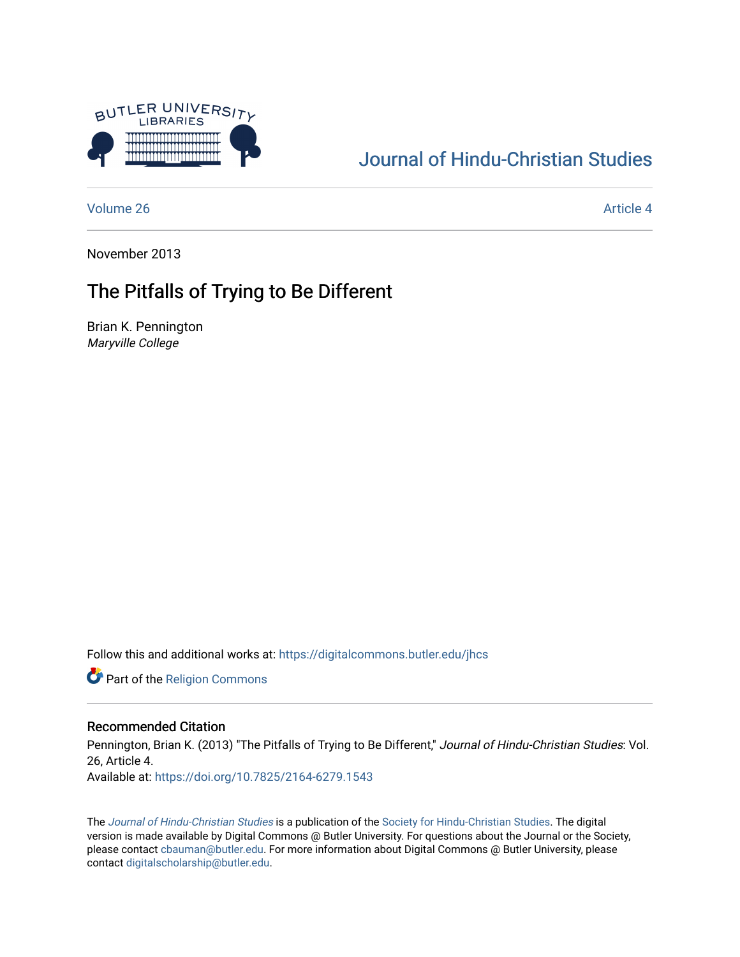

## [Journal of Hindu-Christian Studies](https://digitalcommons.butler.edu/jhcs)

[Volume 26](https://digitalcommons.butler.edu/jhcs/vol26) Article 4

November 2013

## The Pitfalls of Trying to Be Different

Brian K. Pennington Maryville College

Follow this and additional works at: [https://digitalcommons.butler.edu/jhcs](https://digitalcommons.butler.edu/jhcs?utm_source=digitalcommons.butler.edu%2Fjhcs%2Fvol26%2Fiss1%2F4&utm_medium=PDF&utm_campaign=PDFCoverPages)

Part of the [Religion Commons](http://network.bepress.com/hgg/discipline/538?utm_source=digitalcommons.butler.edu%2Fjhcs%2Fvol26%2Fiss1%2F4&utm_medium=PDF&utm_campaign=PDFCoverPages)

### Recommended Citation

Pennington, Brian K. (2013) "The Pitfalls of Trying to Be Different," Journal of Hindu-Christian Studies: Vol. 26, Article 4. Available at:<https://doi.org/10.7825/2164-6279.1543>

The [Journal of Hindu-Christian Studies](https://digitalcommons.butler.edu/jhcs) is a publication of the [Society for Hindu-Christian Studies](http://www.hcstudies.org/). The digital version is made available by Digital Commons @ Butler University. For questions about the Journal or the Society, please contact [cbauman@butler.edu](mailto:cbauman@butler.edu). For more information about Digital Commons @ Butler University, please contact [digitalscholarship@butler.edu](mailto:digitalscholarship@butler.edu).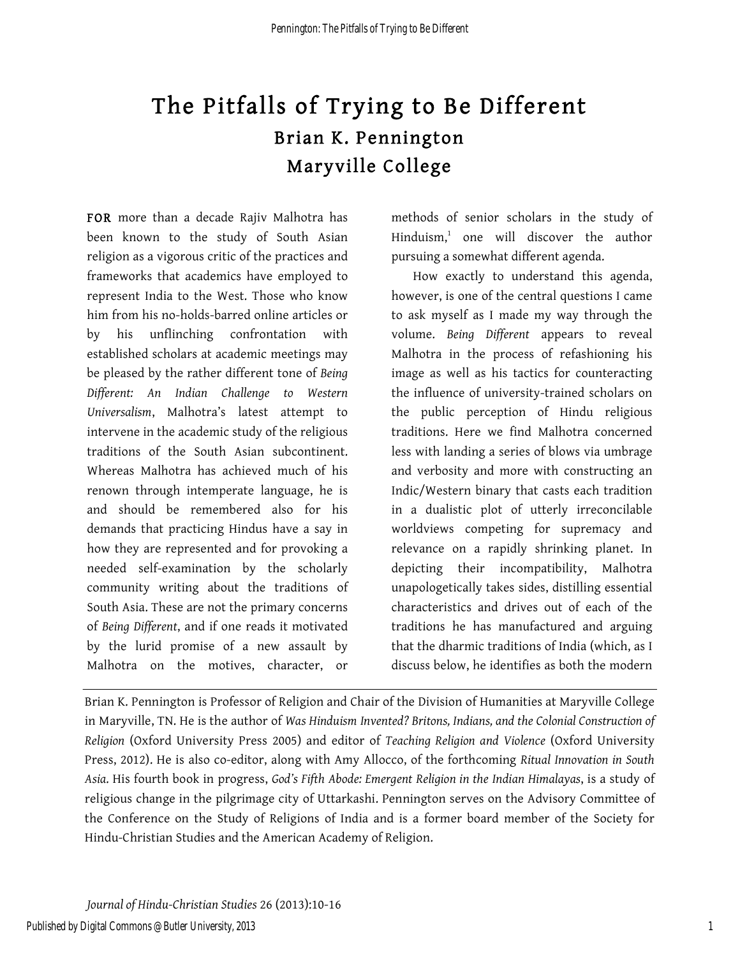# The Pitfalls of Trying to Be Different Brian K. Pennington Maryville College

FOR more than a decade Rajiv Malhotra has been known to the study of South Asian religion as a vigorous critic of the practices and frameworks that academics have employed to represent India to the West. Those who know him from his no-holds-barred online articles or by his unflinching confrontation with established scholars at academic meetings may be pleased by the rather different tone of *Being Different: An Indian Challenge to Western Universalism*, Malhotra's latest attempt to intervene in the academic study of the religious traditions of the South Asian subcontinent. Whereas Malhotra has achieved much of his renown through intemperate language, he is and should be remembered also for his demands that practicing Hindus have a say in how they are represented and for provoking a needed self-examination by the scholarly community writing about the traditions of South Asia. These are not the primary concerns of *Being Different*, and if one reads it motivated by the lurid promise of a new assault by Malhotra on the motives, character, or methods of senior scholars in the study of  $Hinduism<sup>1</sup>$  one will discover the author pursuing a somewhat different agenda.

How exactly to understand this agenda, however, is one of the central questions I came to ask myself as I made my way through the volume. *Being Different* appears to reveal Malhotra in the process of refashioning his image as well as his tactics for counteracting the influence of university-trained scholars on the public perception of Hindu religious traditions. Here we find Malhotra concerned less with landing a series of blows via umbrage and verbosity and more with constructing an Indic/Western binary that casts each tradition in a dualistic plot of utterly irreconcilable worldviews competing for supremacy and relevance on a rapidly shrinking planet. In depicting their incompatibility, Malhotra unapologetically takes sides, distilling essential characteristics and drives out of each of the traditions he has manufactured and arguing that the dharmic traditions of India (which, as I discuss below, he identifies as both the modern

Brian K. Pennington is Professor of Religion and Chair of the Division of Humanities at Maryville College in Maryville, TN. He is the author of *Was Hinduism Invented? Britons, Indians, and the Colonial Construction of Religion* (Oxford University Press 2005) and editor of *Teaching Religion and Violence* (Oxford University Press, 2012). He is also co-editor, along with Amy Allocco, of the forthcoming *Ritual Innovation in South Asia*. His fourth book in progress, *God's Fifth Abode: Emergent Religion in the Indian Himalayas*, is a study of religious change in the pilgrimage city of Uttarkashi. Pennington serves on the Advisory Committee of the Conference on the Study of Religions of India and is a former board member of the Society for Hindu-Christian Studies and the American Academy of Religion.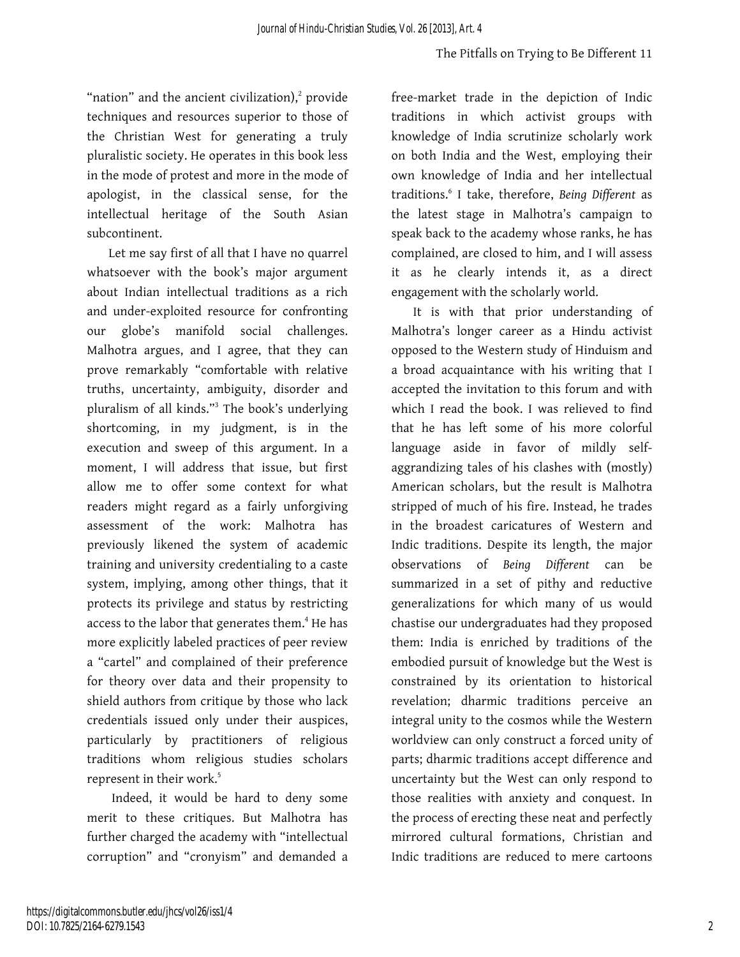"nation" and the ancient civilization),<sup>2</sup> provide techniques and resources superior to those of the Christian West for generating a truly pluralistic society. He operates in this book less in the mode of protest and more in the mode of apologist, in the classical sense, for the intellectual heritage of the South Asian subcontinent.

Let me say first of all that I have no quarrel whatsoever with the book's major argument about Indian intellectual traditions as a rich and under-exploited resource for confronting our globe's manifold social challenges. Malhotra argues, and I agree, that they can prove remarkably "comfortable with relative truths, uncertainty, ambiguity, disorder and pluralism of all kinds."<sup>3</sup> The book's underlying shortcoming, in my judgment, is in the execution and sweep of this argument. In a moment, I will address that issue, but first allow me to offer some context for what readers might regard as a fairly unforgiving assessment of the work: Malhotra has previously likened the system of academic training and university credentialing to a caste system, implying, among other things, that it protects its privilege and status by restricting access to the labor that generates them.<sup>4</sup> He has more explicitly labeled practices of peer review a "cartel" and complained of their preference for theory over data and their propensity to shield authors from critique by those who lack credentials issued only under their auspices, particularly by practitioners of religious traditions whom religious studies scholars represent in their work.<sup>5</sup>

Indeed, it would be hard to deny some merit to these critiques. But Malhotra has further charged the academy with "intellectual corruption" and "cronyism" and demanded a

free-market trade in the depiction of Indic traditions in which activist groups with knowledge of India scrutinize scholarly work on both India and the West, employing their own knowledge of India and her intellectual traditions.<sup>6</sup> I take, therefore, *Being Different* as the latest stage in Malhotra's campaign to speak back to the academy whose ranks, he has complained, are closed to him, and I will assess it as he clearly intends it, as a direct engagement with the scholarly world.

It is with that prior understanding of Malhotra's longer career as a Hindu activist opposed to the Western study of Hinduism and a broad acquaintance with his writing that I accepted the invitation to this forum and with which I read the book. I was relieved to find that he has left some of his more colorful language aside in favor of mildly selfaggrandizing tales of his clashes with (mostly) American scholars, but the result is Malhotra stripped of much of his fire. Instead, he trades in the broadest caricatures of Western and Indic traditions. Despite its length, the major observations of *Being Different* can be summarized in a set of pithy and reductive generalizations for which many of us would chastise our undergraduates had they proposed them: India is enriched by traditions of the embodied pursuit of knowledge but the West is constrained by its orientation to historical revelation; dharmic traditions perceive an integral unity to the cosmos while the Western worldview can only construct a forced unity of parts; dharmic traditions accept difference and uncertainty but the West can only respond to those realities with anxiety and conquest. In the process of erecting these neat and perfectly mirrored cultural formations, Christian and Indic traditions are reduced to mere cartoons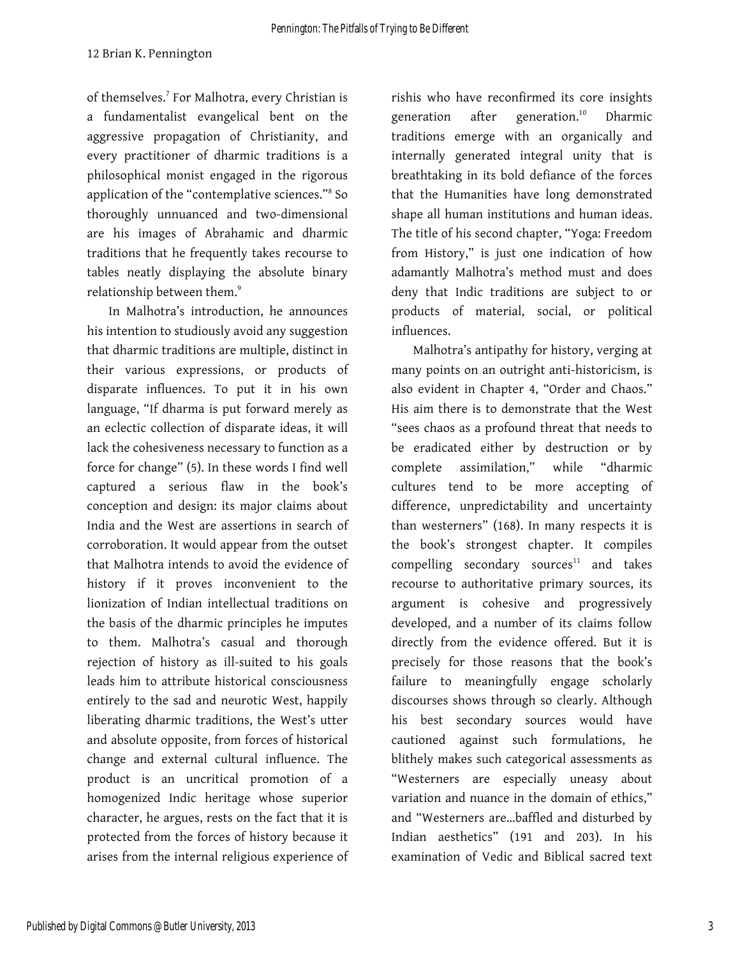of themselves.<sup>7</sup> For Malhotra, every Christian is a fundamentalist evangelical bent on the aggressive propagation of Christianity, and every practitioner of dharmic traditions is a philosophical monist engaged in the rigorous application of the "contemplative sciences."<sup>8</sup> So thoroughly unnuanced and two-dimensional are his images of Abrahamic and dharmic traditions that he frequently takes recourse to tables neatly displaying the absolute binary relationship between them. 9

In Malhotra's introduction, he announces his intention to studiously avoid any suggestion that dharmic traditions are multiple, distinct in their various expressions, or products of disparate influences. To put it in his own language, "If dharma is put forward merely as an eclectic collection of disparate ideas, it will lack the cohesiveness necessary to function as a force for change" (5). In these words I find well captured a serious flaw in the book's conception and design: its major claims about India and the West are assertions in search of corroboration. It would appear from the outset that Malhotra intends to avoid the evidence of history if it proves inconvenient to the lionization of Indian intellectual traditions on the basis of the dharmic principles he imputes to them. Malhotra's casual and thorough rejection of history as ill-suited to his goals leads him to attribute historical consciousness entirely to the sad and neurotic West, happily liberating dharmic traditions, the West's utter and absolute opposite, from forces of historical change and external cultural influence. The product is an uncritical promotion of a homogenized Indic heritage whose superior character, he argues, rests on the fact that it is protected from the forces of history because it arises from the internal religious experience of

rishis who have reconfirmed its core insights generation after generation.<sup>10</sup> Dharmic traditions emerge with an organically and internally generated integral unity that is breathtaking in its bold defiance of the forces that the Humanities have long demonstrated shape all human institutions and human ideas. The title of his second chapter, "Yoga: Freedom from History," is just one indication of how adamantly Malhotra's method must and does deny that Indic traditions are subject to or products of material, social, or political influences.

Malhotra's antipathy for history, verging at many points on an outright anti-historicism, is also evident in Chapter 4, "Order and Chaos." His aim there is to demonstrate that the West "sees chaos as a profound threat that needs to be eradicated either by destruction or by complete assimilation," while "dharmic cultures tend to be more accepting of difference, unpredictability and uncertainty than westerners" (168). In many respects it is the book's strongest chapter. It compiles  $complling$  secondary sources $11$  and takes recourse to authoritative primary sources, its argument is cohesive and progressively developed, and a number of its claims follow directly from the evidence offered. But it is precisely for those reasons that the book's failure to meaningfully engage scholarly discourses shows through so clearly. Although his best secondary sources would have cautioned against such formulations, he blithely makes such categorical assessments as "Westerners are especially uneasy about variation and nuance in the domain of ethics," and "Westerners are…baffled and disturbed by Indian aesthetics" (191 and 203). In his examination of Vedic and Biblical sacred text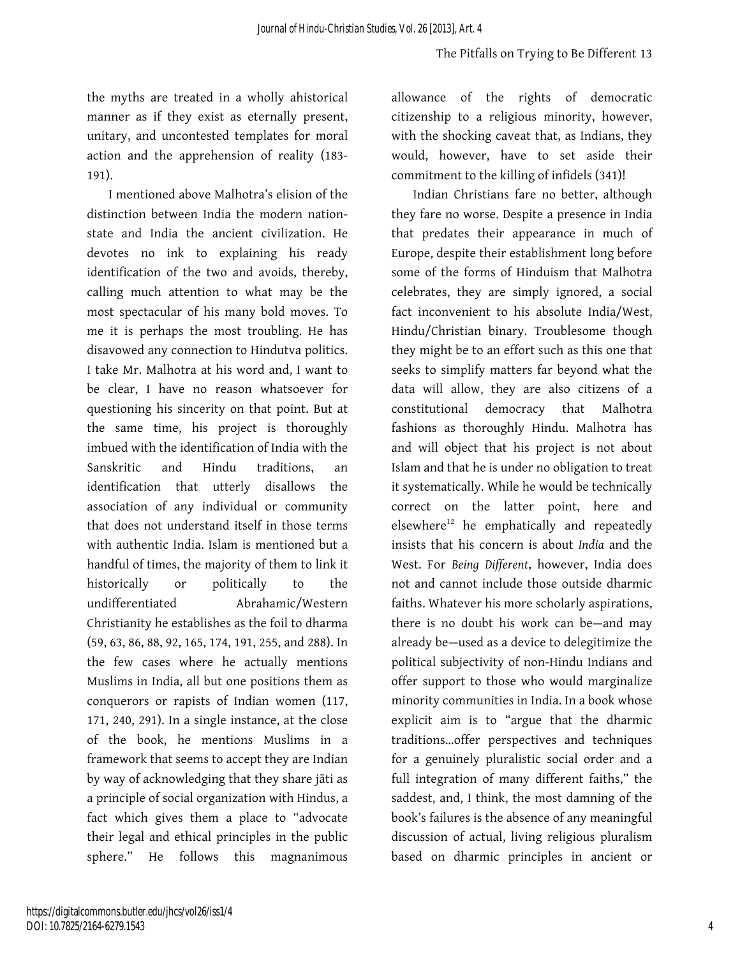the myths are treated in a wholly ahistorical manner as if they exist as eternally present, unitary, and uncontested templates for moral action and the apprehension of reality (183- 191).

I mentioned above Malhotra's elision of the distinction between India the modern nationstate and India the ancient civilization. He devotes no ink to explaining his ready identification of the two and avoids, thereby, calling much attention to what may be the most spectacular of his many bold moves. To me it is perhaps the most troubling. He has disavowed any connection to Hindutva politics. I take Mr. Malhotra at his word and, I want to be clear, I have no reason whatsoever for questioning his sincerity on that point. But at the same time, his project is thoroughly imbued with the identification of India with the Sanskritic and Hindu traditions, an identification that utterly disallows the association of any individual or community that does not understand itself in those terms with authentic India. Islam is mentioned but a handful of times, the majority of them to link it historically or politically to the undifferentiated Abrahamic/Western Christianity he establishes as the foil to dharma (59, 63, 86, 88, 92, 165, 174, 191, 255, and 288). In the few cases where he actually mentions Muslims in India, all but one positions them as conquerors or rapists of Indian women (117, 171, 240, 291). In a single instance, at the close of the book, he mentions Muslims in a framework that seems to accept they are Indian by way of acknowledging that they share jāti as a principle of social organization with Hindus, a fact which gives them a place to "advocate their legal and ethical principles in the public sphere." He follows this magnanimous allowance of the rights of democratic citizenship to a religious minority, however, with the shocking caveat that, as Indians, they would, however, have to set aside their commitment to the killing of infidels (341)!

Indian Christians fare no better, although they fare no worse. Despite a presence in India that predates their appearance in much of Europe, despite their establishment long before some of the forms of Hinduism that Malhotra celebrates, they are simply ignored, a social fact inconvenient to his absolute India/West, Hindu/Christian binary. Troublesome though they might be to an effort such as this one that seeks to simplify matters far beyond what the data will allow, they are also citizens of a constitutional democracy that Malhotra fashions as thoroughly Hindu. Malhotra has and will object that his project is not about Islam and that he is under no obligation to treat it systematically. While he would be technically correct on the latter point, here and elsewhere $12$  he emphatically and repeatedly insists that his concern is about *India* and the West. For *Being Different*, however, India does not and cannot include those outside dharmic faiths. Whatever his more scholarly aspirations, there is no doubt his work can be—and may already be—used as a device to delegitimize the political subjectivity of non-Hindu Indians and offer support to those who would marginalize minority communities in India. In a book whose explicit aim is to "argue that the dharmic traditions…offer perspectives and techniques for a genuinely pluralistic social order and a full integration of many different faiths," the saddest, and, I think, the most damning of the book's failures is the absence of any meaningful discussion of actual, living religious pluralism based on dharmic principles in ancient or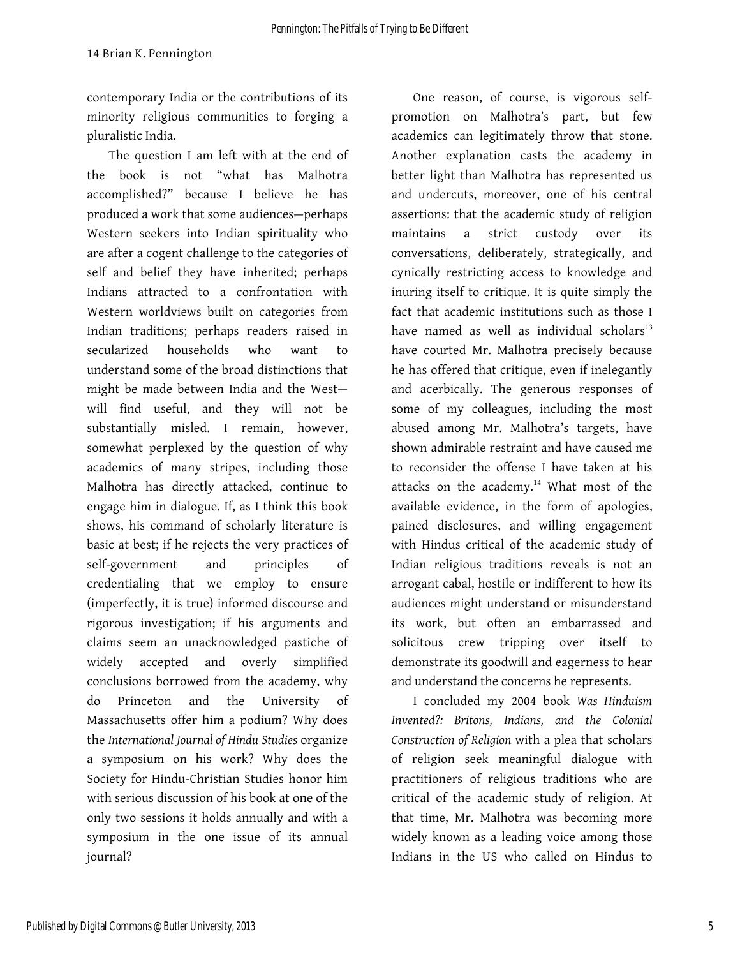contemporary India or the contributions of its minority religious communities to forging a pluralistic India.

The question I am left with at the end of the book is not "what has Malhotra accomplished?" because I believe he has produced a work that some audiences—perhaps Western seekers into Indian spirituality who are after a cogent challenge to the categories of self and belief they have inherited; perhaps Indians attracted to a confrontation with Western worldviews built on categories from Indian traditions; perhaps readers raised in secularized households who want to understand some of the broad distinctions that might be made between India and the West will find useful, and they will not be substantially misled. I remain, however, somewhat perplexed by the question of why academics of many stripes, including those Malhotra has directly attacked, continue to engage him in dialogue. If, as I think this book shows, his command of scholarly literature is basic at best; if he rejects the very practices of self-government and principles of credentialing that we employ to ensure (imperfectly, it is true) informed discourse and rigorous investigation; if his arguments and claims seem an unacknowledged pastiche of widely accepted and overly simplified conclusions borrowed from the academy, why do Princeton and the University of Massachusetts offer him a podium? Why does the *International Journal of Hindu Studies* organize a symposium on his work? Why does the Society for Hindu-Christian Studies honor him with serious discussion of his book at one of the only two sessions it holds annually and with a symposium in the one issue of its annual journal?

One reason, of course, is vigorous selfpromotion on Malhotra's part, but few academics can legitimately throw that stone. Another explanation casts the academy in better light than Malhotra has represented us and undercuts, moreover, one of his central assertions: that the academic study of religion maintains a strict custody over its conversations, deliberately, strategically, and cynically restricting access to knowledge and inuring itself to critique. It is quite simply the fact that academic institutions such as those I have named as well as individual scholars $13$ have courted Mr. Malhotra precisely because he has offered that critique, even if inelegantly and acerbically. The generous responses of some of my colleagues, including the most abused among Mr. Malhotra's targets, have shown admirable restraint and have caused me to reconsider the offense I have taken at his attacks on the academy. $14$  What most of the available evidence, in the form of apologies, pained disclosures, and willing engagement with Hindus critical of the academic study of Indian religious traditions reveals is not an arrogant cabal, hostile or indifferent to how its audiences might understand or misunderstand its work, but often an embarrassed and solicitous crew tripping over itself to demonstrate its goodwill and eagerness to hear and understand the concerns he represents.

I concluded my 2004 book *Was Hinduism Invented?: Britons, Indians, and the Colonial Construction of Religion* with a plea that scholars of religion seek meaningful dialogue with practitioners of religious traditions who are critical of the academic study of religion. At that time, Mr. Malhotra was becoming more widely known as a leading voice among those Indians in the US who called on Hindus to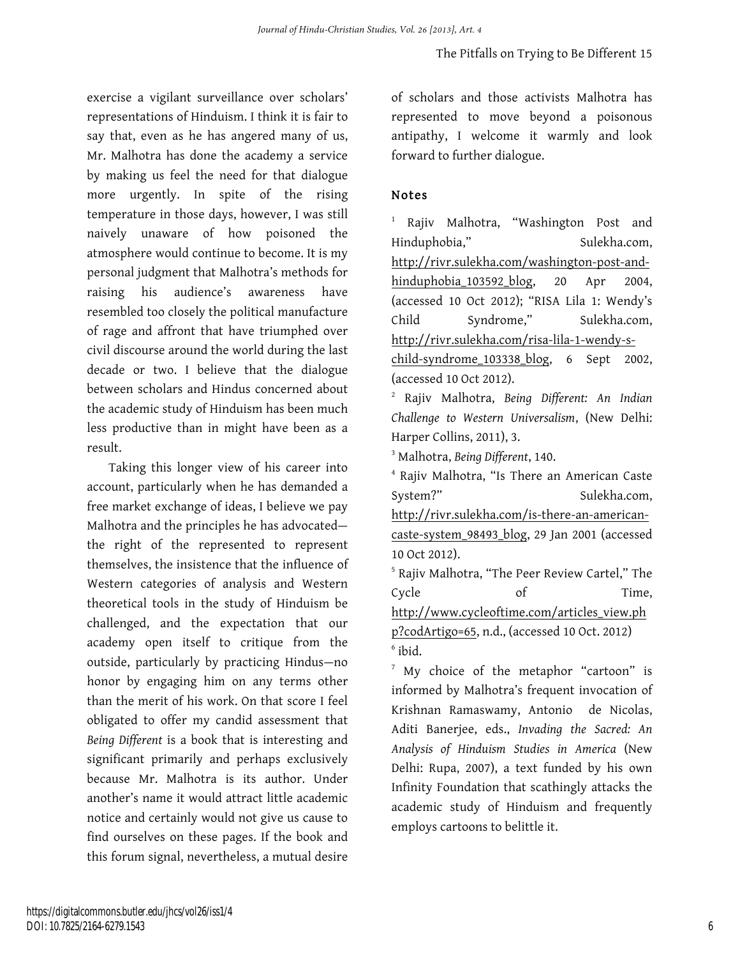exercise a vigilant surveillance over scholars' representations of Hinduism. I think it is fair to say that, even as he has angered many of us, Mr. Malhotra has done the academy a service by making us feel the need for that dialogue more urgently. In spite of the rising temperature in those days, however, I was still naively unaware of how poisoned the atmosphere would continue to become. It is my personal judgment that Malhotra's methods for raising his audience's awareness have resembled too closely the political manufacture of rage and affront that have triumphed over civil discourse around the world during the last decade or two. I believe that the dialogue between scholars and Hindus concerned about the academic study of Hinduism has been much less productive than in might have been as a result.

Taking this longer view of his career into account, particularly when he has demanded a free market exchange of ideas, I believe we pay Malhotra and the principles he has advocated the right of the represented to represent themselves, the insistence that the influence of Western categories of analysis and Western theoretical tools in the study of Hinduism be challenged, and the expectation that our academy open itself to critique from the outside, particularly by practicing Hindus—no honor by engaging him on any terms other than the merit of his work. On that score I feel obligated to offer my candid assessment that *Being Different* is a book that is interesting and significant primarily and perhaps exclusively because Mr. Malhotra is its author. Under another's name it would attract little academic notice and certainly would not give us cause to find ourselves on these pages. If the book and this forum signal, nevertheless, a mutual desire

of scholars and those activists Malhotra has represented to move beyond a poisonous antipathy, I welcome it warmly and look forward to further dialogue.

#### Notes

<sup>1</sup> Rajiv Malhotra, "Washington Post and Hinduphobia," Sulekha.com, http://rivr.sulekha.com/washington-post-andhinduphobia\_103592\_blog, 20 Apr 2004, (accessed 10 Oct 2012); "RISA Lila 1: Wendy's Child Syndrome," Sulekha.com, http://rivr.sulekha.com/risa-lila-1-wendy-schild-syndrome\_103338\_blog, 6 Sept 2002, (accessed 10 Oct 2012).

<sup>2</sup> Rajiv Malhotra, *Being Different: An Indian Challenge to Western Universalism*, (New Delhi: Harper Collins, 2011), 3.

<sup>3</sup> Malhotra, *Being Different*, 140.

<sup>4</sup> Rajiv Malhotra, "Is There an American Caste System?" Sulekha.com, http://rivr.sulekha.com/is-there-an-americancaste-system\_98493\_blog, 29 Jan 2001 (accessed 10 Oct 2012).

<sup>5</sup> Rajiv Malhotra, "The Peer Review Cartel," The Cycle of Time,

http://www.cycleoftime.com/articles\_view.ph

p?codArtigo=65, n.d., (accessed 10 Oct. 2012)  $6$  ibid.

 $7$  My choice of the metaphor "cartoon" is informed by Malhotra's frequent invocation of Krishnan Ramaswamy, Antonio de Nicolas, Aditi Banerjee, eds., *Invading the Sacred: An Analysis of Hinduism Studies in America* (New Delhi: Rupa, 2007), a text funded by his own Infinity Foundation that scathingly attacks the academic study of Hinduism and frequently employs cartoons to belittle it.